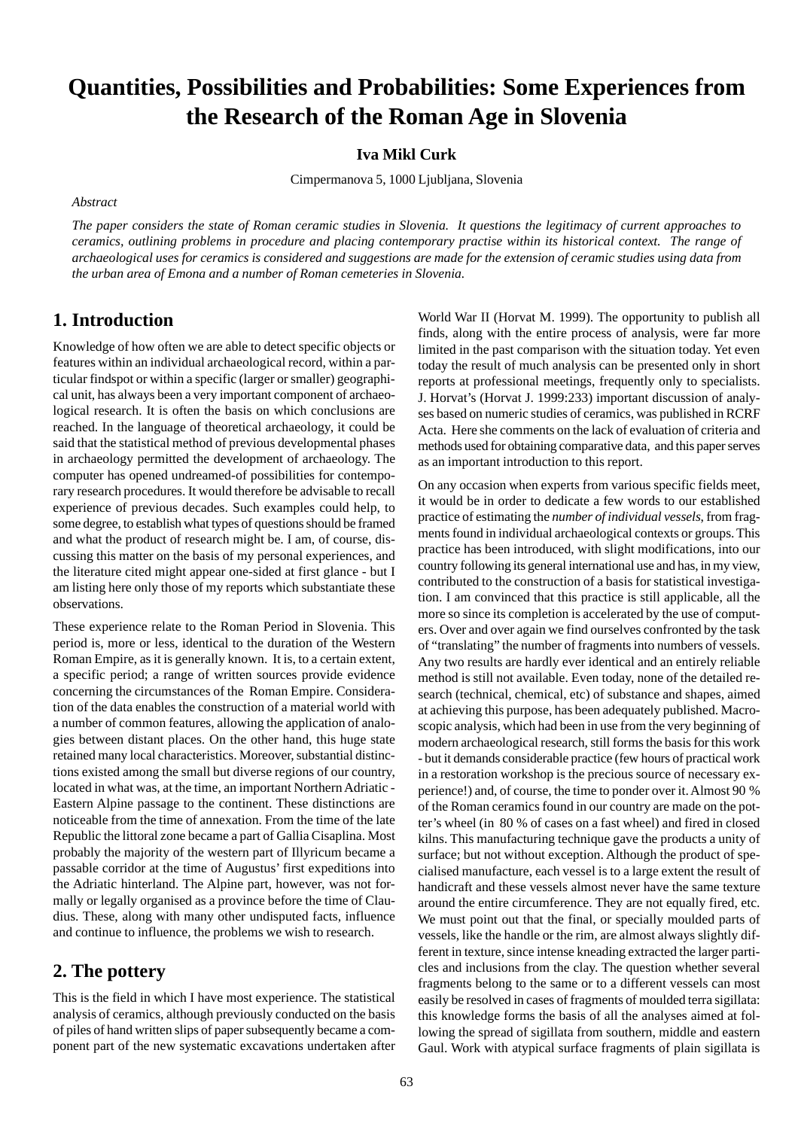# **Quantities, Possibilities and Probabilities: Some Experiences from the Research of the Roman Age in Slovenia**

#### **Iva Mikl Curk**

Cimpermanova 5, 1000 Ljubljana, Slovenia

#### *Abstract*

*The paper considers the state of Roman ceramic studies in Slovenia. It questions the legitimacy of current approaches to ceramics, outlining problems in procedure and placing contemporary practise within its historical context. The range of archaeological uses for ceramics is considered and suggestions are made for the extension of ceramic studies using data from the urban area of Emona and a number of Roman cemeteries in Slovenia.*

## **1. Introduction**

Knowledge of how often we are able to detect specific objects or features within an individual archaeological record, within a particular findspot or within a specific (larger or smaller) geographical unit, has always been a very important component of archaeological research. It is often the basis on which conclusions are reached. In the language of theoretical archaeology, it could be said that the statistical method of previous developmental phases in archaeology permitted the development of archaeology. The computer has opened undreamed-of possibilities for contemporary research procedures. It would therefore be advisable to recall experience of previous decades. Such examples could help, to some degree, to establish what types of questions should be framed and what the product of research might be. I am, of course, discussing this matter on the basis of my personal experiences, and the literature cited might appear one-sided at first glance - but I am listing here only those of my reports which substantiate these observations.

These experience relate to the Roman Period in Slovenia. This period is, more or less, identical to the duration of the Western Roman Empire, as it is generally known. It is, to a certain extent, a specific period; a range of written sources provide evidence concerning the circumstances of the Roman Empire. Consideration of the data enables the construction of a material world with a number of common features, allowing the application of analogies between distant places. On the other hand, this huge state retained many local characteristics. Moreover, substantial distinctions existed among the small but diverse regions of our country, located in what was, at the time, an important Northern Adriatic - Eastern Alpine passage to the continent. These distinctions are noticeable from the time of annexation. From the time of the late Republic the littoral zone became a part of Gallia Cisaplina. Most probably the majority of the western part of Illyricum became a passable corridor at the time of Augustus' first expeditions into the Adriatic hinterland. The Alpine part, however, was not formally or legally organised as a province before the time of Claudius. These, along with many other undisputed facts, influence and continue to influence, the problems we wish to research.

#### **2. The pottery**

This is the field in which I have most experience. The statistical analysis of ceramics, although previously conducted on the basis of piles of hand written slips of paper subsequently became a component part of the new systematic excavations undertaken after World War II (Horvat M. 1999). The opportunity to publish all finds, along with the entire process of analysis, were far more limited in the past comparison with the situation today. Yet even today the result of much analysis can be presented only in short reports at professional meetings, frequently only to specialists. J. Horvat's (Horvat J. 1999:233) important discussion of analyses based on numeric studies of ceramics, was published in RCRF Acta. Here she comments on the lack of evaluation of criteria and methods used for obtaining comparative data, and this paper serves as an important introduction to this report.

On any occasion when experts from various specific fields meet, it would be in order to dedicate a few words to our established practice of estimating the *number of individual vessels*, from fragments found in individual archaeological contexts or groups. This practice has been introduced, with slight modifications, into our country following its general international use and has, in my view, contributed to the construction of a basis for statistical investigation. I am convinced that this practice is still applicable, all the more so since its completion is accelerated by the use of computers. Over and over again we find ourselves confronted by the task of "translating" the number of fragments into numbers of vessels. Any two results are hardly ever identical and an entirely reliable method is still not available. Even today, none of the detailed research (technical, chemical, etc) of substance and shapes, aimed at achieving this purpose, has been adequately published. Macroscopic analysis, which had been in use from the very beginning of modern archaeological research, still forms the basis for this work - but it demands considerable practice (few hours of practical work in a restoration workshop is the precious source of necessary experience!) and, of course, the time to ponder over it. Almost 90 % of the Roman ceramics found in our country are made on the potter's wheel (in 80 % of cases on a fast wheel) and fired in closed kilns. This manufacturing technique gave the products a unity of surface; but not without exception. Although the product of specialised manufacture, each vessel is to a large extent the result of handicraft and these vessels almost never have the same texture around the entire circumference. They are not equally fired, etc. We must point out that the final, or specially moulded parts of vessels, like the handle or the rim, are almost always slightly different in texture, since intense kneading extracted the larger particles and inclusions from the clay. The question whether several fragments belong to the same or to a different vessels can most easily be resolved in cases of fragments of moulded terra sigillata: this knowledge forms the basis of all the analyses aimed at following the spread of sigillata from southern, middle and eastern Gaul. Work with atypical surface fragments of plain sigillata is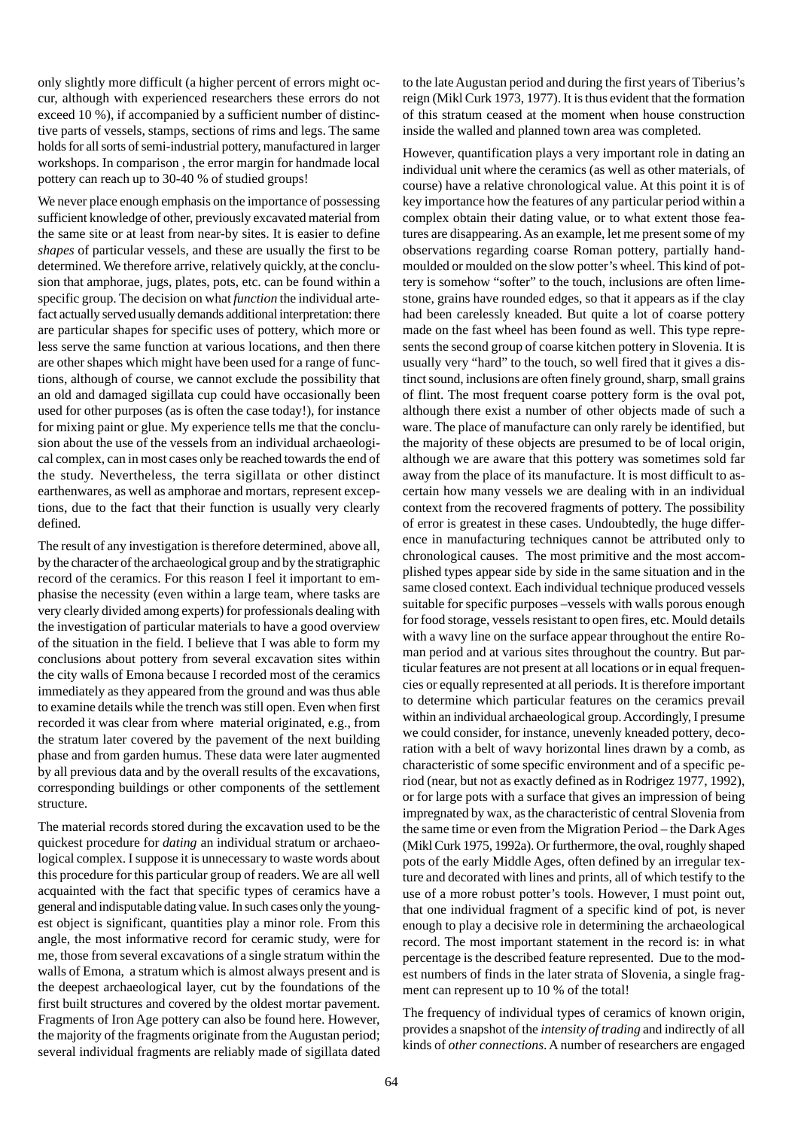only slightly more difficult (a higher percent of errors might occur, although with experienced researchers these errors do not exceed 10 %), if accompanied by a sufficient number of distinctive parts of vessels, stamps, sections of rims and legs. The same holds for all sorts of semi-industrial pottery, manufactured in larger workshops. In comparison , the error margin for handmade local pottery can reach up to 30-40 % of studied groups!

We never place enough emphasis on the importance of possessing sufficient knowledge of other, previously excavated material from the same site or at least from near-by sites. It is easier to define *shapes* of particular vessels, and these are usually the first to be determined. We therefore arrive, relatively quickly, at the conclusion that amphorae, jugs, plates, pots, etc. can be found within a specific group. The decision on what *function* the individual artefact actually served usually demands additional interpretation: there are particular shapes for specific uses of pottery, which more or less serve the same function at various locations, and then there are other shapes which might have been used for a range of functions, although of course, we cannot exclude the possibility that an old and damaged sigillata cup could have occasionally been used for other purposes (as is often the case today!), for instance for mixing paint or glue. My experience tells me that the conclusion about the use of the vessels from an individual archaeological complex, can in most cases only be reached towards the end of the study. Nevertheless, the terra sigillata or other distinct earthenwares, as well as amphorae and mortars, represent exceptions, due to the fact that their function is usually very clearly defined.

The result of any investigation is therefore determined, above all, by the character of the archaeological group and by the stratigraphic record of the ceramics. For this reason I feel it important to emphasise the necessity (even within a large team, where tasks are very clearly divided among experts) for professionals dealing with the investigation of particular materials to have a good overview of the situation in the field. I believe that I was able to form my conclusions about pottery from several excavation sites within the city walls of Emona because I recorded most of the ceramics immediately as they appeared from the ground and was thus able to examine details while the trench was still open. Even when first recorded it was clear from where material originated, e.g., from the stratum later covered by the pavement of the next building phase and from garden humus. These data were later augmented by all previous data and by the overall results of the excavations, corresponding buildings or other components of the settlement structure.

The material records stored during the excavation used to be the quickest procedure for *dating* an individual stratum or archaeological complex. I suppose it is unnecessary to waste words about this procedure for this particular group of readers. We are all well acquainted with the fact that specific types of ceramics have a general and indisputable dating value. In such cases only the youngest object is significant, quantities play a minor role. From this angle, the most informative record for ceramic study, were for me, those from several excavations of a single stratum within the walls of Emona, a stratum which is almost always present and is the deepest archaeological layer, cut by the foundations of the first built structures and covered by the oldest mortar pavement. Fragments of Iron Age pottery can also be found here. However, the majority of the fragments originate from the Augustan period; several individual fragments are reliably made of sigillata dated to the late Augustan period and during the first years of Tiberius's reign (Mikl Curk 1973, 1977). It is thus evident that the formation of this stratum ceased at the moment when house construction inside the walled and planned town area was completed.

However, quantification plays a very important role in dating an individual unit where the ceramics (as well as other materials, of course) have a relative chronological value. At this point it is of key importance how the features of any particular period within a complex obtain their dating value, or to what extent those features are disappearing. As an example, let me present some of my observations regarding coarse Roman pottery, partially handmoulded or moulded on the slow potter's wheel. This kind of pottery is somehow "softer" to the touch, inclusions are often limestone, grains have rounded edges, so that it appears as if the clay had been carelessly kneaded. But quite a lot of coarse pottery made on the fast wheel has been found as well. This type represents the second group of coarse kitchen pottery in Slovenia. It is usually very "hard" to the touch, so well fired that it gives a distinct sound, inclusions are often finely ground, sharp, small grains of flint. The most frequent coarse pottery form is the oval pot, although there exist a number of other objects made of such a ware. The place of manufacture can only rarely be identified, but the majority of these objects are presumed to be of local origin, although we are aware that this pottery was sometimes sold far away from the place of its manufacture. It is most difficult to ascertain how many vessels we are dealing with in an individual context from the recovered fragments of pottery. The possibility of error is greatest in these cases. Undoubtedly, the huge difference in manufacturing techniques cannot be attributed only to chronological causes. The most primitive and the most accomplished types appear side by side in the same situation and in the same closed context. Each individual technique produced vessels suitable for specific purposes –vessels with walls porous enough for food storage, vessels resistant to open fires, etc. Mould details with a wavy line on the surface appear throughout the entire Roman period and at various sites throughout the country. But particular features are not present at all locations or in equal frequencies or equally represented at all periods. It is therefore important to determine which particular features on the ceramics prevail within an individual archaeological group. Accordingly, I presume we could consider, for instance, unevenly kneaded pottery, decoration with a belt of wavy horizontal lines drawn by a comb, as characteristic of some specific environment and of a specific period (near, but not as exactly defined as in Rodrigez 1977, 1992), or for large pots with a surface that gives an impression of being impregnated by wax, as the characteristic of central Slovenia from the same time or even from the Migration Period – the Dark Ages (Mikl Curk 1975, 1992a). Or furthermore, the oval, roughly shaped pots of the early Middle Ages, often defined by an irregular texture and decorated with lines and prints, all of which testify to the use of a more robust potter's tools. However, I must point out, that one individual fragment of a specific kind of pot, is never enough to play a decisive role in determining the archaeological record. The most important statement in the record is: in what percentage is the described feature represented. Due to the modest numbers of finds in the later strata of Slovenia, a single fragment can represent up to 10 % of the total!

The frequency of individual types of ceramics of known origin, provides a snapshot of the *intensity of trading* and indirectly of all kinds of *other connections*. A number of researchers are engaged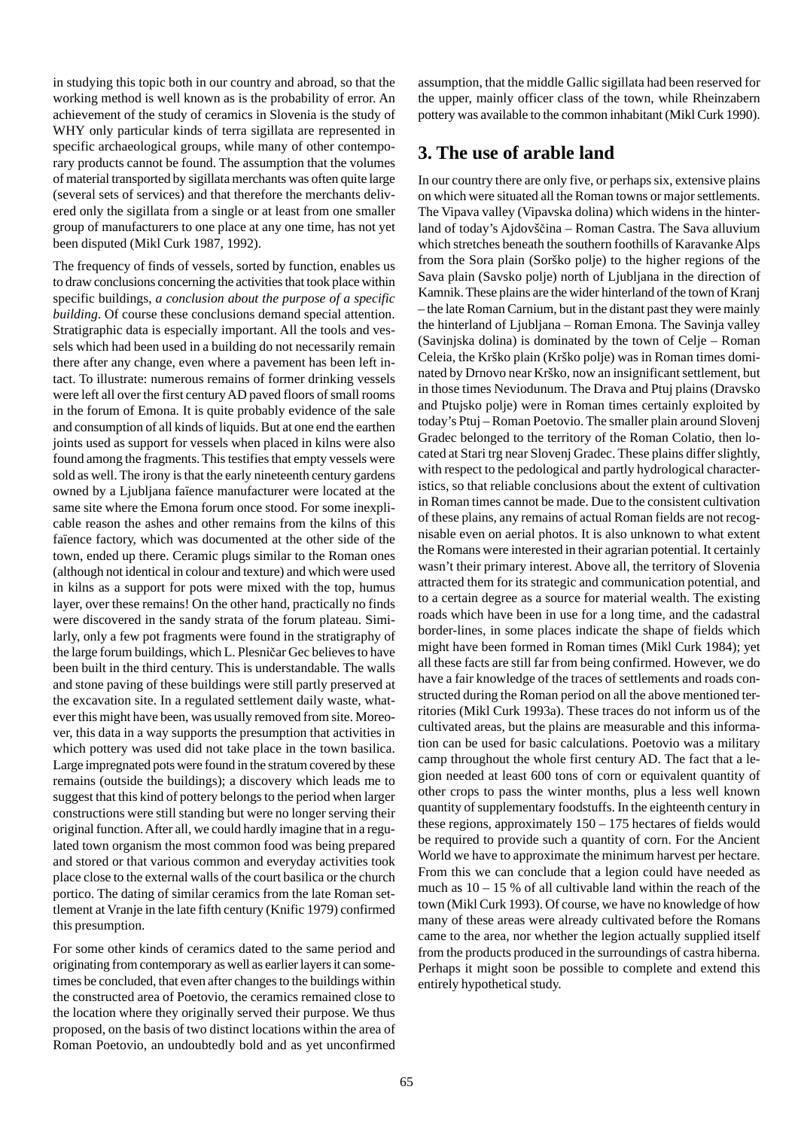in studying this topic both in our country and abroad, so that the working method is well known as is the probability of error. An achievement of the study of ceramics in Slovenia is the study of WHY only particular kinds of terra sigillata are represented in specific archaeological groups, while many of other contemporary products cannot be found. The assumption that the volumes of material transported by sigillata merchants was often quite large (several sets of services) and that therefore the merchants delivered only the sigillata from a single or at least from one smaller group of manufacturers to one place at any one time, has not yet been disputed (Mikl Curk 1987, 1992).

The frequency of finds of vessels, sorted by function, enables us to draw conclusions concerning the activities that took place within specific buildings, *a conclusion about the purpose of a specific building*. Of course these conclusions demand special attention. Stratigraphic data is especially important. All the tools and vessels which had been used in a building do not necessarily remain there after any change, even where a pavement has been left intact. To illustrate: numerous remains of former drinking vessels were left all over the first century AD paved floors of small rooms in the forum of Emona. It is quite probably evidence of the sale and consumption of all kinds of liquids. But at one end the earthen joints used as support for vessels when placed in kilns were also found among the fragments. This testifies that empty vessels were sold as well. The irony is that the early nineteenth century gardens owned by a Ljubljana faïence manufacturer were located at the same site where the Emona forum once stood. For some inexplicable reason the ashes and other remains from the kilns of this faïence factory, which was documented at the other side of the town, ended up there. Ceramic plugs similar to the Roman ones (although not identical in colour and texture) and which were used in kilns as a support for pots were mixed with the top, humus layer, over these remains! On the other hand, practically no finds were discovered in the sandy strata of the forum plateau. Similarly, only a few pot fragments were found in the stratigraphy of the large forum buildings, which L. Plesničar Gec believes to have been built in the third century. This is understandable. The walls and stone paving of these buildings were still partly preserved at the excavation site. In a regulated settlement daily waste, whatever this might have been, was usually removed from site. Moreover, this data in a way supports the presumption that activities in which pottery was used did not take place in the town basilica. Large impregnated pots were found in the stratum covered by these remains (outside the buildings); a discovery which leads me to suggest that this kind of pottery belongs to the period when larger constructions were still standing but were no longer serving their original function. After all, we could hardly imagine that in a regulated town organism the most common food was being prepared and stored or that various common and everyday activities took place close to the external walls of the court basilica or the church portico. The dating of similar ceramics from the late Roman settlement at Vranje in the late fifth century (Knific 1979) confirmed this presumption.

For some other kinds of ceramics dated to the same period and originating from contemporary as well as earlier layers it can sometimes be concluded, that even after changes to the buildings within the constructed area of Poetovio, the ceramics remained close to the location where they originally served their purpose. We thus proposed, on the basis of two distinct locations within the area of Roman Poetovio, an undoubtedly bold and as yet unconfirmed

assumption, that the middle Gallic sigillata had been reserved for the upper, mainly officer class of the town, while Rheinzabern pottery was available to the common inhabitant (Mikl Curk 1990).

# **3. The use of arable land**

In our country there are only five, or perhaps six, extensive plains on which were situated all the Roman towns or major settlements. The Vipava valley (Vipavska dolina) which widens in the hinterland of today's Ajdovščina – Roman Castra. The Sava alluvium which stretches beneath the southern foothills of Karavanke Alps from the Sora plain (Sorško polje) to the higher regions of the Sava plain (Savsko polje) north of Ljubljana in the direction of Kamnik. These plains are the wider hinterland of the town of Kranj – the late Roman Carnium, but in the distant past they were mainly the hinterland of Ljubljana – Roman Emona. The Savinja valley (Savinjska dolina) is dominated by the town of Celje – Roman Celeia, the Krško plain (Krško polje) was in Roman times dominated by Drnovo near Krško, now an insignificant settlement, but in those times Neviodunum. The Drava and Ptuj plains (Dravsko and Ptujsko polje) were in Roman times certainly exploited by today's Ptuj – Roman Poetovio. The smaller plain around Slovenj Gradec belonged to the territory of the Roman Colatio, then located at Stari trg near Slovenj Gradec. These plains differ slightly, with respect to the pedological and partly hydrological characteristics, so that reliable conclusions about the extent of cultivation in Roman times cannot be made. Due to the consistent cultivation of these plains, any remains of actual Roman fields are not recognisable even on aerial photos. It is also unknown to what extent the Romans were interested in their agrarian potential. It certainly wasn't their primary interest. Above all, the territory of Slovenia attracted them for its strategic and communication potential, and to a certain degree as a source for material wealth. The existing roads which have been in use for a long time, and the cadastral border-lines, in some places indicate the shape of fields which might have been formed in Roman times (Mikl Curk 1984); yet all these facts are still far from being confirmed. However, we do have a fair knowledge of the traces of settlements and roads constructed during the Roman period on all the above mentioned territories (Mikl Curk 1993a). These traces do not inform us of the cultivated areas, but the plains are measurable and this information can be used for basic calculations. Poetovio was a military camp throughout the whole first century AD. The fact that a legion needed at least 600 tons of corn or equivalent quantity of other crops to pass the winter months, plus a less well known quantity of supplementary foodstuffs. In the eighteenth century in these regions, approximately 150 – 175 hectares of fields would be required to provide such a quantity of corn. For the Ancient World we have to approximate the minimum harvest per hectare. From this we can conclude that a legion could have needed as much as  $10 - 15$  % of all cultivable land within the reach of the town (Mikl Curk 1993). Of course, we have no knowledge of how many of these areas were already cultivated before the Romans came to the area, nor whether the legion actually supplied itself from the products produced in the surroundings of castra hiberna. Perhaps it might soon be possible to complete and extend this entirely hypothetical study.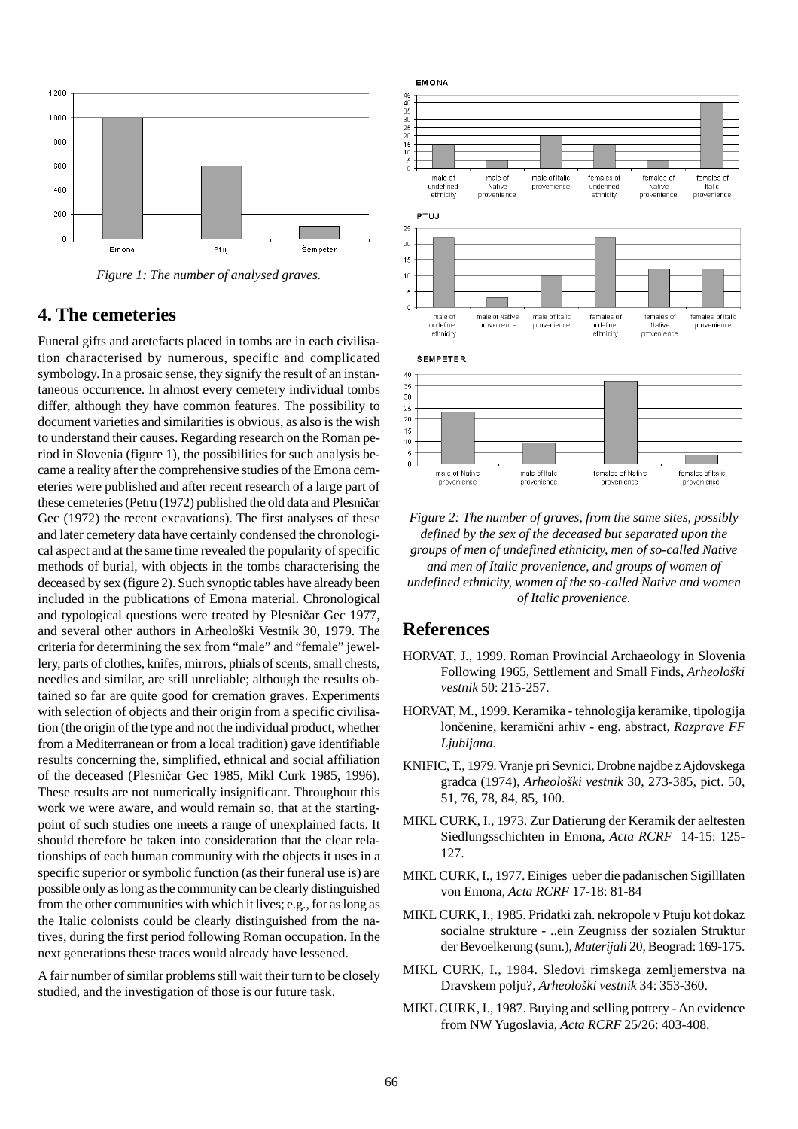

*Figure 1: The number of analysed graves.*

### **4. The cemeteries**

Funeral gifts and aretefacts placed in tombs are in each civilisation characterised by numerous, specific and complicated symbology. In a prosaic sense, they signify the result of an instantaneous occurrence. In almost every cemetery individual tombs differ, although they have common features. The possibility to document varieties and similarities is obvious, as also is the wish to understand their causes. Regarding research on the Roman period in Slovenia (figure 1), the possibilities for such analysis became a reality after the comprehensive studies of the Emona cemeteries were published and after recent research of a large part of these cemeteries (Petru (1972) published the old data and Plesničar Gec (1972) the recent excavations). The first analyses of these and later cemetery data have certainly condensed the chronological aspect and at the same time revealed the popularity of specific methods of burial, with objects in the tombs characterising the deceased by sex (figure 2). Such synoptic tables have already been included in the publications of Emona material. Chronological and typological questions were treated by Plesničar Gec 1977, and several other authors in Arheološki Vestnik 30, 1979. The criteria for determining the sex from "male" and "female" jewellery, parts of clothes, knifes, mirrors, phials of scents, small chests, needles and similar, are still unreliable; although the results obtained so far are quite good for cremation graves. Experiments with selection of objects and their origin from a specific civilisation (the origin of the type and not the individual product, whether from a Mediterranean or from a local tradition) gave identifiable results concerning the, simplified, ethnical and social affiliation of the deceased (Plesničar Gec 1985, Mikl Curk 1985, 1996). These results are not numerically insignificant. Throughout this work we were aware, and would remain so, that at the startingpoint of such studies one meets a range of unexplained facts. It should therefore be taken into consideration that the clear relationships of each human community with the objects it uses in a specific superior or symbolic function (as their funeral use is) are possible only as long as the community can be clearly distinguished from the other communities with which it lives; e.g., for as long as the Italic colonists could be clearly distinguished from the natives, during the first period following Roman occupation. In the next generations these traces would already have lessened.

A fair number of similar problems still wait their turn to be closely studied, and the investigation of those is our future task.



*Figure 2: The number of graves, from the same sites, possibly defined by the sex of the deceased but separated upon the groups of men of undefined ethnicity, men of so-called Native and men of Italic provenience, and groups of women of undefined ethnicity, women of the so-called Native and women of Italic provenience.*

### **References**

- HORVAT, J., 1999. Roman Provincial Archaeology in Slovenia Following 1965, Settlement and Small Finds, *Arheološki vestnik* 50: 215-257.
- HORVAT, M., 1999. Keramika tehnologija keramike, tipologija lončenine, keramični arhiv - eng. abstract, *Razprave FF Ljubljana*.
- KNIFIC, T., 1979. Vranje pri Sevnici. Drobne najdbe z Ajdovskega gradca (1974), *Arheološki vestnik* 30, 273-385, pict. 50, 51, 76, 78, 84, 85, 100.
- MIKL CURK, I., 1973. Zur Datierung der Keramik der aeltesten Siedlungsschichten in Emona, *Acta RCRF* 14-15: 125- 127.
- MIKL CURK, I., 1977. Einiges ueber die padanischen Sigilllaten von Emona, *Acta RCRF* 17-18: 81-84
- MIKL CURK, I., 1985. Pridatki zah. nekropole v Ptuju kot dokaz socialne strukture - ..ein Zeugniss der sozialen Struktur der Bevoelkerung (sum.), *Materijali* 20, Beograd: 169-175.
- MIKL CURK, I., 1984. Sledovi rimskega zemljemerstva na Dravskem polju?, *Arheološki vestnik* 34: 353-360.
- MIKL CURK, I., 1987. Buying and selling pottery An evidence from NW Yugoslavia, *Acta RCRF* 25/26: 403-408.